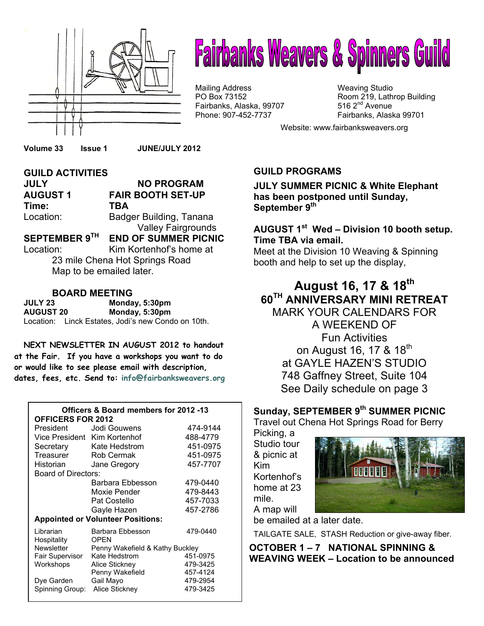

# **Fairbanks Weavers & Spinners Guild**

Mailing Address Mail in the Weaving Studio<br>
Mailing Address Manus (Weaving Studio PO Box 73152 Fairbanks, Alaska, 99707 Phone: 907-452-7737 Fairbanks, Alaska 99701

Room 219, Lathrop Building 516  $2<sup>nd</sup>$  Avenue

Website: www.fairbanksweavers.org

**Volume 33 Issue 1 JUNE/JULY 2012** 

#### **GUILD ACTIVITIES JULY NO PROGRAM AUGUST 1 FAIR BOOTH SET-UP Time: TBA**  Location: Badger Building, Tanana Valley Fairgrounds

**SEPTEMBER 9TH END OF SUMMER PICNIC**  Location: Kim Kortenhof's home at

23 mile Chena Hot Springs Road Map to be emailed later.

#### **BOARD MEETING**

**JULY 23 Monday, 5:30pm AUGUST 20 Monday, 5:30pm**  Location: Linck Estates, Jodi's new Condo on 10th.

**NEXT NEWSLETTER IN AUGUST 2012 to handout at the Fair. If you have a workshops you want to do or would like to see please email with description, dates, fees, etc. Send to: info@fairbanksweavers.org**

#### **Officers & Board members for 2012 -13 OFFICERS FOR 2012**  President Jodi Gouwens 474-9144 Vice President Kim Kortenhof 488-4779 Secretary Kate Hedstrom 451-0975 Treasurer Rob Cermak 451-0975 Historian Jane Gregory 457-7707 Board of Directors: Barbara Ebbesson (479-0440)<br>Moxie Pender (479-8443) Moxie Pender Pat Costello 457-7033 Gayle Hazen 457-2786 **Appointed or Volunteer Positions:** Librarian Barbara Ebbesson 479-0440 Hospitality OPEN<br>Newsletter Penny Penny Wakefield & Kathy Buckley<br>Kate Hedstrom 451-0975 Fair Supervisor Kate Hedstrom Workshops Alice Stickney 479-3425 Penny Wakefield 457-4124 Dye Garden Gail Mayo 479-2954

Spinning Group: Alice Stickney 479-3425

#### **GUILD PROGRAMS**

**JULY SUMMER PICNIC & White Elephant has been postponed until Sunday, September 9th** 

#### **AUGUST 1st Wed – Division 10 booth setup. Time TBA via email.**

Meet at the Division 10 Weaving & Spinning booth and help to set up the display,

#### **August 16, 17 & 18th 60TH ANNIVERSARY MINI RETREAT**

MARK YOUR CALENDARS FOR A WEEKEND OF Fun Activities on August 16, 17 & 18<sup>th</sup> at GAYLE HAZEN'S STUDIO 748 Gaffney Street, Suite 104 See Daily schedule on page 3

#### **Sunday, SEPTEMBER 9th SUMMER PICNIC**

Travel out Chena Hot Springs Road for Berry

Picking, a Studio tour & picnic at Kim Kortenhof's home at 23 mile. A map will



be emailed at a later date.

TAILGATE SALE, STASH Reduction or give-away fiber.

**OCTOBER 1 – 7 NATIONAL SPINNING & WEAVING WEEK – Location to be announced**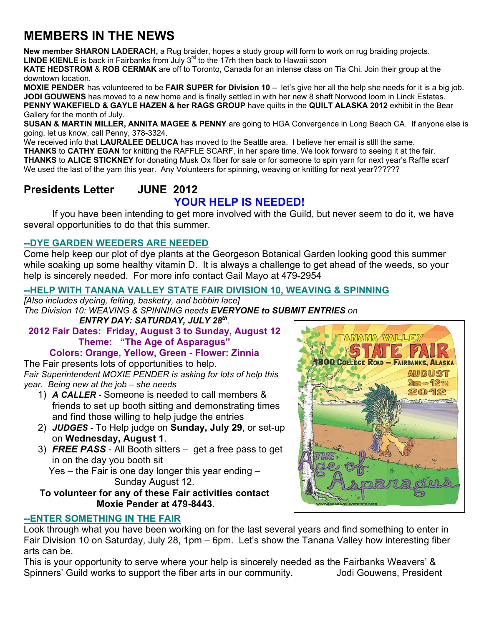## **MEMBERS IN THE NEWS**

**New member SHARON LADERACH,** a Rug braider, hopes a study group will form to work on rug braiding projects. LINDE KIENLE is back in Fairbanks from July 3<sup>rd</sup> to the 17rh then back to Hawaii soon

**KATE HEDSTROM** & **ROB CERMAK** are off to Toronto, Canada for an intense class on Tia Chi. Join their group at the downtown location.

**MOXIE PENDER** has volunteered to be **FAIR SUPER for Division 10** – let's give her all the help she needs for it is a big job. **JODI GOUWENS** has moved to a new home and is finally settled in with her new 8 shaft Norwood loom in Linck Estates. **PENNY WAKEFIELD & GAYLE HAZEN & her RAGS GROUP** have quilts in the **QUILT ALASKA 2012** exhibit in the Bear Gallery for the month of July.

**SUSAN & MARTIN MILLER, ANNITA MAGEE & PENNY** are going to HGA Convergence in Long Beach CA. If anyone else is going, let us know, call Penny, 378-3324.

We received info that LAURALEE DELUCA has moved to the Seattle area. I believe her email is still the same. **THANKS** to **CATHY EGAN** for knitting the RAFFLE SCARF, in her spare time. We look forward to seeing it at the fair. **THANKS** to **ALICE STICKNEY** for donating Musk Ox fiber for sale or for someone to spin yarn for next year's Raffle scarf We used the last of the yarn this year. Any Volunteers for spinning, weaving or knitting for next year??????

#### **Presidents Letter JUNE 2012**

#### **YOUR HELP IS NEEDED!**

 If you have been intending to get more involved with the Guild, but never seem to do it, we have several opportunities to do that this summer.

#### **--DYE GARDEN WEEDERS ARE NEEDED**

Come help keep our plot of dye plants at the Georgeson Botanical Garden looking good this summer while soaking up some healthy vitamin D. It is always a challenge to get ahead of the weeds, so your help is sincerely needed. For more info contact Gail Mayo at 479-2954

#### **--HELP WITH TANANA VALLEY STATE FAIR DIVISION 10, WEAVING & SPINNING**

*[Also includes dyeing, felting, basketry, and bobbin lace] The Division 10: WEAVING & SPINNING needs EVERYONE to SUBMIT ENTRIES on* 

*ENTRY DAY: SATURDAY, JULY 28th.* 

**2012 Fair Dates: Friday, August 3 to Sunday, August 12 Theme: "The Age of Asparagus"** 

**Colors: Orange, Yellow, Green - Flower: Zinnia** 

The Fair presents lots of opportunities to help. *Fair Superintendent MOXIE PENDER is asking for lots of help this year. Being new at the job – she needs* 

- 1) *A CALLER* Someone is needed to call members & friends to set up booth sitting and demonstrating times and find those willing to help judge the entries
- 2) *JUDGES* To Help judge on **Sunday, July 29**, or set-up on **Wednesday, August 1**.
- 3) *FREE PASS* All Booth sitters get a free pass to get in on the day you booth sit

Yes – the Fair is one day longer this year ending – Sunday August 12.

**To volunteer for any of these Fair activities contact Moxie Pender at 479-8443.** 

#### **--ENTER SOMETHING IN THE FAIR**

Look through what you have been working on for the last several years and find something to enter in Fair Division 10 on Saturday, July 28, 1pm – 6pm. Let's show the Tanana Valley how interesting fiber arts can be.

This is your opportunity to serve where your help is sincerely needed as the Fairbanks Weavers' & Spinners' Guild works to support the fiber arts in our community. Jodi Gouwens, President

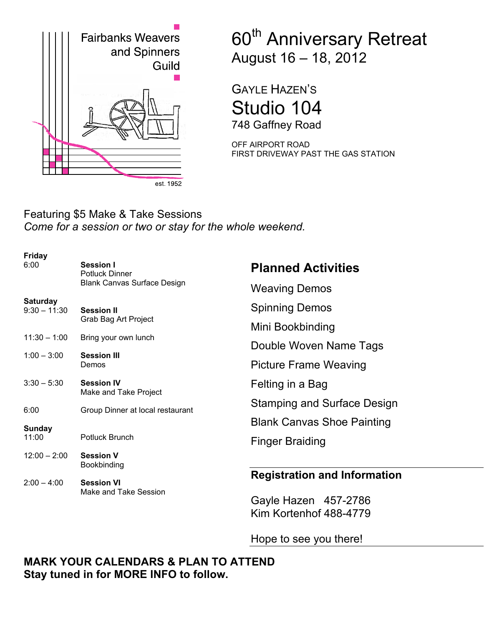

# 60<sup>th</sup> Anniversary Retreat August 16 – 18, 2012

GAYLE HAZEN'S Studio 104 748 Gaffney Road

OFF AIRPORT ROAD FIRST DRIVEWAY PAST THE GAS STATION

#### Featuring \$5 Make & Take Sessions *Come for a session or two or stay for the whole weekend.*

| $2:00 - 4:00$                     | <b>Session VI</b><br>Make and Take Session | <b>Registration and Information</b> |
|-----------------------------------|--------------------------------------------|-------------------------------------|
| $12:00 - 2:00$                    | <b>Session V</b><br>Bookbinding            |                                     |
| 11:00                             | Potluck Brunch                             | <b>Finger Braiding</b>              |
| Sunday                            |                                            | <b>Blank Canvas Shoe Painting</b>   |
| 6:00                              | Group Dinner at local restaurant           | <b>Stamping and Surface Design</b>  |
| $3:30 - 5:30$                     | <b>Session IV</b><br>Make and Take Project | Felting in a Bag                    |
| $1:00 - 3:00$                     | <b>Session III</b><br>Demos                | <b>Picture Frame Weaving</b>        |
| $11:30 - 1:00$                    | Bring your own lunch                       | Double Woven Name Tags              |
|                                   | Grab Bag Art Project                       | Mini Bookbinding                    |
| <b>Saturday</b><br>$9:30 - 11:30$ | <b>Session II</b>                          | <b>Spinning Demos</b>               |
|                                   | <b>Blank Canvas Surface Design</b>         | <b>Weaving Demos</b>                |
| <b>Friday</b><br>6:00             | <b>Session I</b><br>Potluck Dinner         | <b>Planned Activities</b>           |

Gayle Hazen 457-2786 Kim Kortenhof 488-4779

Hope to see you there!

#### **MARK YOUR CALENDARS & PLAN TO ATTEND Stay tuned in for MORE INFO to follow.**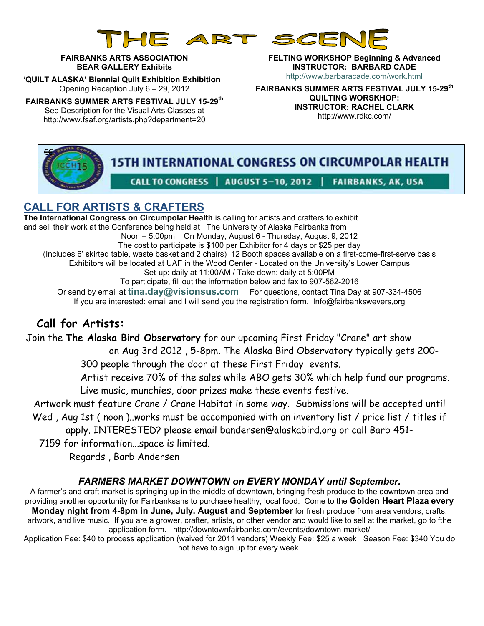

#### **FAIRBANKS ARTS ASSOCIATION BEAR GALLERY Exhibits**

 **'QUILT ALASKA' Biennial Quilt Exhibition Exhibition**  Opening Reception July 6 – 29, 2012

**FAIRBANKS SUMMER ARTS FESTIVAL JULY 15-29th** See Description for the Visual Arts Classes at http://www.fsaf.org/artists.php?department=20

**FELTING WORKSHOP Beginning & Advanced INSTRUCTOR: BARBARD CADE**  http://www.barbaracade.com/work.html

**FAIRBANKS SUMMER ARTS FESTIVAL JULY 15-29th QUILTING WORSKHOP: INSTRUCTOR: RACHEL CLARK**  http://www.rdkc.com/

# **15TH INTERNATIONAL CONGRESS ON CIRCUMPOLAR HEALTH** CALL TO CONGRESS | AUGUST 5-10, 2012 | FAIRBANKS, AK, USA

#### **CALL FOR ARTISTS & CRAFTERS**

**The International Congress on Circumpolar Health** is calling for artists and crafters to exhibit and sell their work at the Conference being held at The University of Alaska Fairbanks from Noon – 5:00pm On Monday, August 6 - Thursday, August 9, 2012 The cost to participate is \$100 per Exhibitor for 4 days or \$25 per day (Includes 6' skirted table, waste basket and 2 chairs) 12 Booth spaces available on a first-come-first-serve basis Exhibitors will be located at UAF in the Wood Center - Located on the University's Lower Campus Set-up: daily at 11:00AM / Take down: daily at 5:00PM To participate, fill out the information below and fax to 907-562-2016 Or send by email at **tina.day@visionsus.com** For questions, contact Tina Day at 907-334-4506 If you are interested: email and I will send you the registration form. Info@fairbankswevers,org

#### **Call for Artists:**

€€

Join the **The Alaska Bird Observatory** for our upcoming First Friday "Crane" art show

on Aug 3rd 2012 , 5-8pm. The Alaska Bird Observatory typically gets 200- 300 people through the door at these First Friday events.

Artist receive 70% of the sales while ABO gets 30% which help fund our programs. Live music, munchies, door prizes make these events festive.

Artwork must feature Crane / Crane Habitat in some way. Submissions will be accepted until Wed, Aug 1st (noon)..works must be accompanied with an inventory list / price list / titles if

apply. INTERESTED? please email bandersen@alaskabird.org or call Barb 451-

7159 for information...space is limited.

Regards , Barb Andersen

#### *FARMERS MARKET DOWNTOWN on EVERY MONDAY until September.*

A farmer's and craft market is springing up in the middle of downtown, bringing fresh produce to the downtown area and providing another opportunity for Fairbanksans to purchase healthy, local food. Come to the **Golden Heart Plaza every Monday night from 4-8pm in June, July. August and September** for fresh produce from area vendors, crafts, artwork, and live music. If you are a grower, crafter, artists, or other vendor and would like to sell at the market, go to fthe application form. http://downtownfairbanks.com/events/downtown-market/

Application Fee: \$40 to process application (waived for 2011 vendors) Weekly Fee: \$25 a week Season Fee: \$340 You do not have to sign up for every week.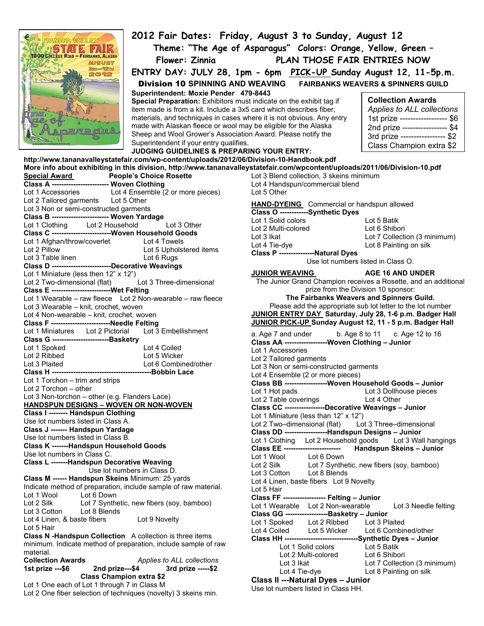